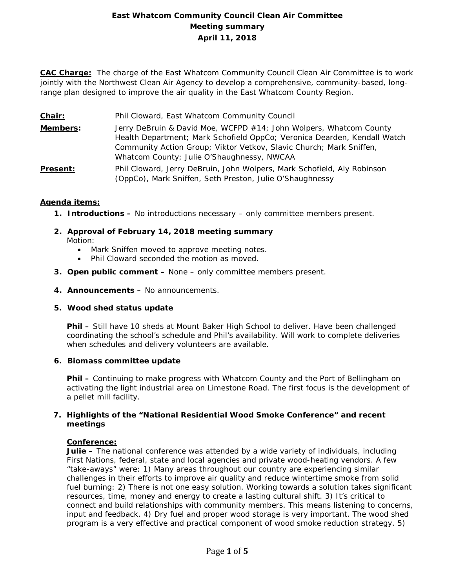# **East Whatcom Community Council Clean Air Committee Meeting summary April 11, 2018**

**CAC Charge:** The charge of the East Whatcom Community Council Clean Air Committee is to work jointly with the Northwest Clean Air Agency to develop a comprehensive, community-based, longrange plan designed to improve the air quality in the East Whatcom County Region.

- **Members:** Jerry DeBruin & David Moe, WCFPD #14; John Wolpers, Whatcom County Health Department; Mark Schofield OppCo; Veronica Dearden, Kendall Watch Community Action Group; Viktor Vetkov, Slavic Church; Mark Sniffen, Whatcom County; Julie O'Shaughnessy, NWCAA
- **Present:** Phil Cloward, Jerry DeBruin, John Wolpers, Mark Schofield, Aly Robinson (OppCo), Mark Sniffen, Seth Preston, Julie O'Shaughnessy

## **Agenda items:**

- **1. Introductions –** No introductions necessary only committee members present.
- **2. Approval of February 14, 2018 meeting summary** Motion:
	- Mark Sniffen moved to approve meeting notes.
	- Phil Cloward seconded the motion as moved.
- **3. Open public comment –** None only committee members present.
- **4. Announcements –** No announcements.

### **5. Wood shed status update**

**Phil –** Still have 10 sheds at Mount Baker High School to deliver. Have been challenged coordinating the school's schedule and Phil's availability. Will work to complete deliveries when schedules and delivery volunteers are available.

### **6. Biomass committee update**

**Phil –** Continuing to make progress with Whatcom County and the Port of Bellingham on activating the light industrial area on Limestone Road. The first focus is the development of a pellet mill facility.

### **7. Highlights of the "National Residential Wood Smoke Conference" and recent meetings**

### **Conference:**

**Julie –** The national conference was attended by a wide variety of individuals, including First Nations, federal, state and local agencies and private wood-heating vendors. A few "take-aways" were: 1) Many areas throughout our country are experiencing similar challenges in their efforts to improve air quality and reduce wintertime smoke from solid fuel burning: 2) There is not one easy solution. Working towards a solution takes significant resources, time, money and energy to create a lasting cultural shift. 3) It's critical to connect and build relationships with community members. This means listening to concerns, input and feedback. 4) Dry fuel and proper wood storage is very important. The wood shed program is a very effective and practical component of wood smoke reduction strategy. 5)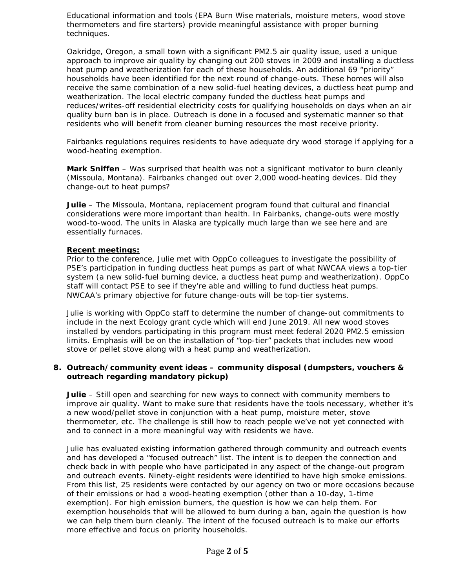Educational information and tools (EPA Burn Wise materials, moisture meters, wood stove thermometers and fire starters) provide meaningful assistance with proper burning techniques.

Oakridge, Oregon, a small town with a significant PM2.5 air quality issue, used a unique approach to improve air quality by changing out 200 stoves in 2009 and installing a ductless heat pump and weatherization for each of these households. An additional 69 "priority" households have been identified for the next round of change-outs. These homes will also receive the same combination of a new solid-fuel heating devices, a ductless heat pump and weatherization. The local electric company funded the ductless heat pumps and reduces/writes-off residential electricity costs for qualifying households on days when an air quality burn ban is in place. Outreach is done in a focused and systematic manner so that residents who will benefit from cleaner burning resources the most receive priority.

Fairbanks regulations requires residents to have adequate dry wood storage if applying for a wood-heating exemption.

**Mark Sniffen** – Was surprised that health was not a significant motivator to burn cleanly (Missoula, Montana). Fairbanks changed out over 2,000 wood-heating devices. Did they change-out to heat pumps?

**Julie** – The Missoula, Montana, replacement program found that cultural and financial considerations were more important than health. In Fairbanks, change-outs were mostly wood-to-wood. The units in Alaska are typically much large than we see here and are essentially furnaces.

### **Recent meetings:**

Prior to the conference, Julie met with OppCo colleagues to investigate the possibility of PSE's participation in funding ductless heat pumps as part of what NWCAA views a top-tier system (a new solid-fuel burning device, a ductless heat pump and weatherization). OppCo staff will contact PSE to see if they're able and willing to fund ductless heat pumps. NWCAA's primary objective for future change-outs will be top-tier systems.

Julie is working with OppCo staff to determine the number of change-out commitments to include in the next Ecology grant cycle which will end June 2019. All new wood stoves installed by vendors participating in this program must meet federal 2020 PM2.5 emission limits. Emphasis will be on the installation of "top-tier" packets that includes new wood stove or pellet stove along with a heat pump and weatherization.

### **8. Outreach/community event ideas – community disposal (dumpsters, vouchers & outreach regarding mandatory pickup)**

**Julie** – Still open and searching for new ways to connect with community members to improve air quality. Want to make sure that residents have the tools necessary, whether it's a new wood/pellet stove in conjunction with a heat pump, moisture meter, stove thermometer, etc. The challenge is still how to reach people we've not yet connected with and to connect in a more meaningful way with residents we have.

Julie has evaluated existing information gathered through community and outreach events and has developed a "focused outreach" list. The intent is to deepen the connection and check back in with people who have participated in any aspect of the change-out program and outreach events. Ninety-eight residents were identified to have high smoke emissions. From this list, 25 residents were contacted by our agency on two or more occasions because of their emissions or had a wood-heating exemption (other than a 10-day, 1-time exemption). For high emission burners, the question is how we can help them. For exemption households that will be allowed to burn during a ban, again the question is how we can help them burn cleanly. The intent of the focused outreach is to make our efforts more effective and focus on priority households.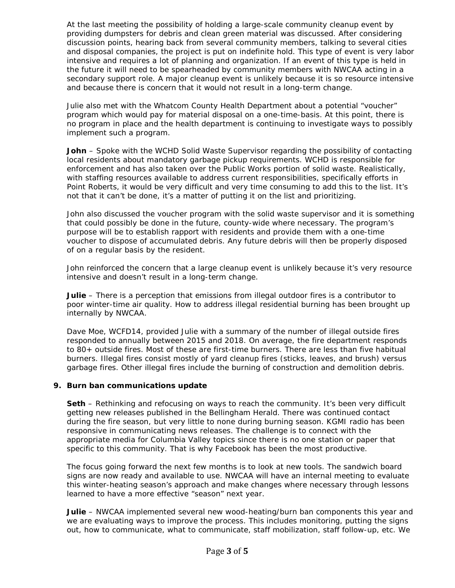At the last meeting the possibility of holding a large-scale community cleanup event by providing dumpsters for debris and clean green material was discussed. After considering discussion points, hearing back from several community members, talking to several cities and disposal companies, the project is put on indefinite hold. This type of event is very labor intensive and requires a lot of planning and organization. If an event of this type is held in the future it will need to be spearheaded by community members with NWCAA acting in a secondary support role. A major cleanup event is unlikely because it is so resource intensive and because there is concern that it would not result in a long-term change.

Julie also met with the Whatcom County Health Department about a potential "voucher" program which would pay for material disposal on a one-time-basis. At this point, there is no program in place and the health department is continuing to investigate ways to possibly implement such a program.

**John** – Spoke with the WCHD Solid Waste Supervisor regarding the possibility of contacting local residents about mandatory garbage pickup requirements. WCHD is responsible for enforcement and has also taken over the Public Works portion of solid waste. Realistically, with staffing resources available to address current responsibilities, specifically efforts in Point Roberts, it would be very difficult and very time consuming to add this to the list. It's not that it can't be done, it's a matter of putting it on the list and prioritizing.

John also discussed the voucher program with the solid waste supervisor and it is something that could possibly be done in the future, county-wide where necessary. The program's purpose will be to establish rapport with residents and provide them with a one-time voucher to dispose of accumulated debris. Any future debris will then be properly disposed of on a regular basis by the resident.

John reinforced the concern that a large cleanup event is unlikely because it's very resource intensive and doesn't result in a long-term change.

**Julie** – There is a perception that emissions from illegal outdoor fires is a contributor to poor winter-time air quality. How to address illegal residential burning has been brought up internally by NWCAA.

Dave Moe, WCFD14, provided Julie with a summary of the number of illegal outside fires responded to annually between 2015 and 2018. On average, the fire department responds to 80+ outside fires. Most of these are first-time burners. There are less than five habitual burners. Illegal fires consist mostly of yard cleanup fires (sticks, leaves, and brush) versus garbage fires. Other illegal fires include the burning of construction and demolition debris.

### **9. Burn ban communications update**

**Seth** – Rethinking and refocusing on ways to reach the community. It's been very difficult getting new releases published in the Bellingham Herald. There was continued contact during the fire season, but very little to none during burning season. KGMI radio has been responsive in communicating news releases. The challenge is to connect with the appropriate media for Columbia Valley topics since there is no one station or paper that specific to this community. That is why Facebook has been the most productive.

The focus going forward the next few months is to look at new tools. The sandwich board signs are now ready and available to use. NWCAA will have an internal meeting to evaluate this winter-heating season's approach and make changes where necessary through lessons learned to have a more effective "season" next year.

**Julie** – NWCAA implemented several new wood-heating/burn ban components this year and we are evaluating ways to improve the process. This includes monitoring, putting the signs out, how to communicate, what to communicate, staff mobilization, staff follow-up, etc. We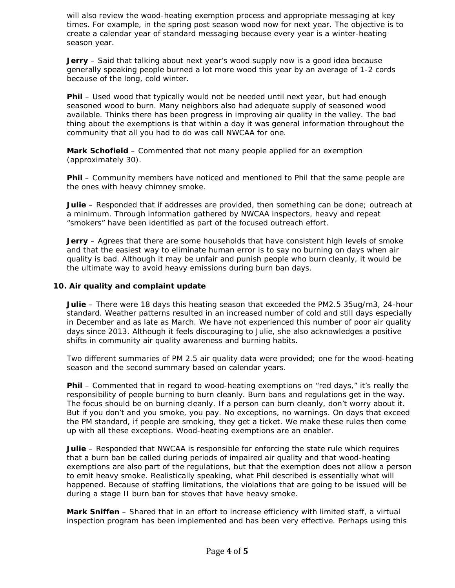will also review the wood-heating exemption process and appropriate messaging at key times. For example, in the spring post season wood now for next year. The objective is to create a calendar year of standard messaging because every year is a winter-heating season year.

**Jerry** – Said that talking about next year's wood supply now is a good idea because generally speaking people burned a lot more wood this year by an average of 1-2 cords because of the long, cold winter.

**Phil** – Used wood that typically would not be needed until next year, but had enough seasoned wood to burn. Many neighbors also had adequate supply of seasoned wood available. Thinks there has been progress in improving air quality in the valley. The bad thing about the exemptions is that within a day it was general information throughout the community that all you had to do was call NWCAA for one.

**Mark Schofield** – Commented that not many people applied for an exemption (approximately 30).

**Phil** – Community members have noticed and mentioned to Phil that the same people are the ones with heavy chimney smoke.

**Julie** – Responded that if addresses are provided, then something can be done; outreach at a minimum. Through information gathered by NWCAA inspectors, heavy and repeat "smokers" have been identified as part of the focused outreach effort.

**Jerry** – Agrees that there are some households that have consistent high levels of smoke and that the easiest way to eliminate human error is to say no burning on days when air quality is bad. Although it may be unfair and punish people who burn cleanly, it would be the ultimate way to avoid heavy emissions during burn ban days.

#### **10. Air quality and complaint update**

**Julie** – There were 18 days this heating season that exceeded the PM2.5 35ug/m3, 24-hour standard. Weather patterns resulted in an increased number of cold and still days especially in December and as late as March. We have not experienced this number of poor air quality days since 2013. Although it feels discouraging to Julie, she also acknowledges a positive shifts in community air quality awareness and burning habits.

Two different summaries of PM 2.5 air quality data were provided; one for the wood-heating season and the second summary based on calendar years.

**Phil** – Commented that in regard to wood-heating exemptions on "red days," it's really the responsibility of people burning to burn cleanly. Burn bans and regulations get in the way. The focus should be on burning cleanly. If a person can burn cleanly, don't worry about it. But if you don't and you smoke, you pay. No exceptions, no warnings. On days that exceed the PM standard, if people are smoking, they get a ticket. We make these rules then come up with all these exceptions. Wood-heating exemptions are an enabler.

**Julie** – Responded that NWCAA is responsible for enforcing the state rule which requires that a burn ban be called during periods of impaired air quality and that wood-heating exemptions are also part of the regulations, but that the exemption does not allow a person to emit heavy smoke. Realistically speaking, what Phil described is essentially what will happened. Because of staffing limitations, the violations that are going to be issued will be during a stage II burn ban for stoves that have heavy smoke.

**Mark Sniffen** – Shared that in an effort to increase efficiency with limited staff, a virtual inspection program has been implemented and has been very effective. Perhaps using this